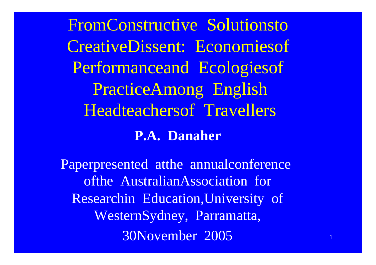FromConstructive Solutionsto **CreativeDissent: Economiesof** Performanceand Ecologiesof **PracticeAmong English Headteachersof Travellers P.A. Danaher** 

Paperpresented atthe annualconference ofthe AustralianAssociation for Researchin Education, University of WesternSydney, Parramatta, 30November 2005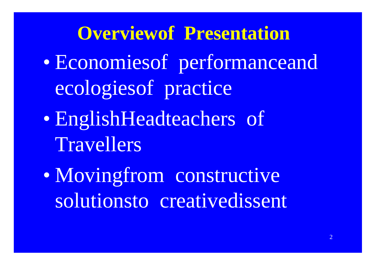**Overviewof Presentation** · Economiesof performanceand ecologiesof practice • EnglishHeadteachers of Travellers • Movingfrom constructive solutionsto creativedissent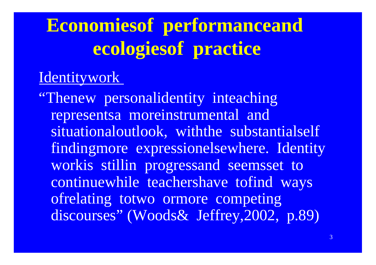## **Economiesof performanceand** ecologies of practice

### Identitywork

"Thenew personalidentity inteaching representsa moreinstrumental and situationaloutlook, with the substantialself findingmore expressionelsewhere. Identity workis stillin progressand seemsset to continuewhile teachershave tofind ways ofrelating totwo ormore competing discourses" (Woods& Jeffrey, 2002, p.89)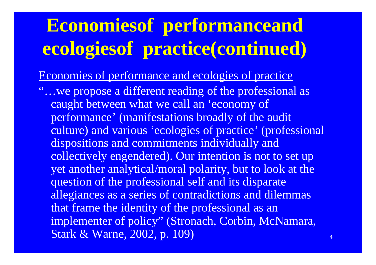Economies of performance and ecologies of practice

"…we propose a different reading of the professional as caught between what we call an 'economy of performance' (manifestations broadly of the audit culture) and various 'ecologies of practice' (professional dispositions and commitments individually and collectively engendered). Our intention is not to set up yet another analytical/moral polarity, but to look at the question of the professional self and its disparate allegiances as a series of contradictions and dilemmas that frame the identity of the professional as an implementer of policy" (Stronach, Corbin, McNamara, Stark & Warne, 2002, p. 109)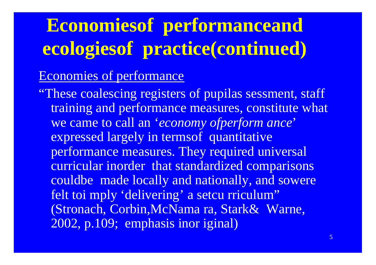#### Economies of performance

"These coalescing registers of pupilas sessment, staff training and performance measures, constitute what we came to call an '*economy ofperform ance*' expressed largely in termsof quantitative performance measures. They required universal curricular inorder that standardized comparisons couldbe made locally and nationally, and sowere felt toi mply 'delivering' a setcu rriculum" (Stronach, Corbin,McNama ra, Stark& Warne, 2002, p.109; emphasis inor iginal)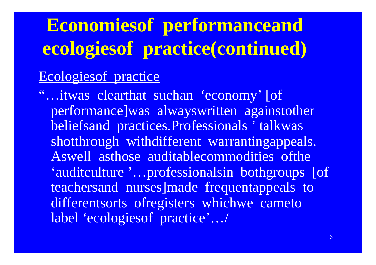#### Ecologies of practice

"...itwas clearthat suchan 'economy' [of performance was alwayswritten againstother beliefsand practices. Professionals 'talkwas shotthrough withdifferent warrantingappeals. Aswell asthose auditablecommodities ofthe 'auditculture '...professionalsin bothgroups [of teachersand nurses made frequentappeals to differentsorts ofregisters whichwe cameto label 'ecologies of practice'.../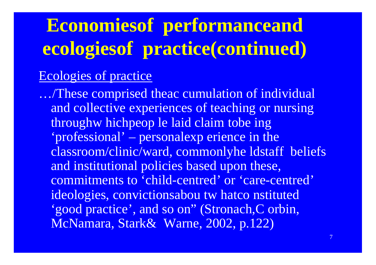#### **Ecologies of practice**

.../These comprised theac cumulation of individual and collective experiences of teaching or nursing throughw hichpeop le laid claim tobe ing 'professional' – personalexp erience in the classroom/clinic/ward, commonlyhe ldstaff beliefs and institutional policies based upon these, commitments to 'child-centred' or 'care-centred' ideologies, convictionsabou tw hatco nstituted 'good practice', and so on" (Stronach, C orbin, McNamara, Stark& Warne, 2002, p.122)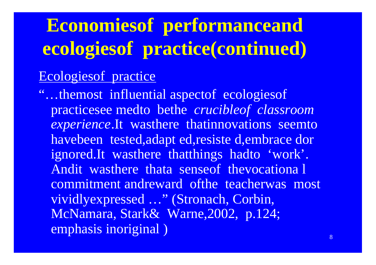#### Ecologies of practice

"...themost influential aspectof ecologiesof practicesee medto bethe crucibleof classroom experience. It wasthere thatinnovations seemto havebeen tested, adapt ed, resiste d, embrace dor ignored.It wasthere thatthings hadto 'work'. Andit wasthere thata senseof thevocationa l commitment andreward of the teacherwas most vividlyexpressed ..." (Stronach, Corbin, McNamara, Stark& Warne, 2002, p.124; emphasis inoriginal)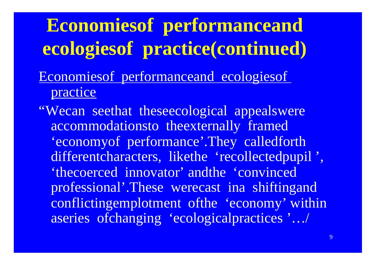- Economies of performance and ecologies of practice
- "Wecan seethat theseecological appealswere accommodationsto theexternally framed 'economy of performance'. They called forth differentcharacters, likethe 'recollectedpupil', 'thecoerced innovator' andthe 'convinced' professional'.These werecast in ashifting and conflicting emplotment of the 'economy' within aseries of changing 'ecological practices'.../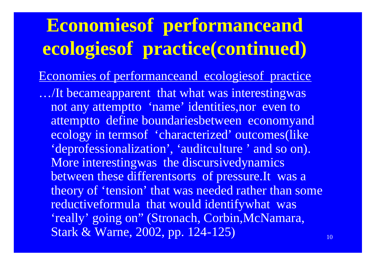Economies of performanceand ecologiesof practice …/It becameapparent that what was interestingwas not any attemptto 'name' identities,nor even to attemptto define boundariesbetween economyand ecology in termsof 'characterized' outcomes(like 'deprofessionalization', 'auditculture' and so on). More interestingwas the discursivedynamics between these differentsorts of pressure.It was a theory of 'tension' that was needed rather than some reductiveformula that would identifywhat was 'really' going on" (Stronach, Corbin,McNamara, Stark & Warne, 2002, pp. 124-125)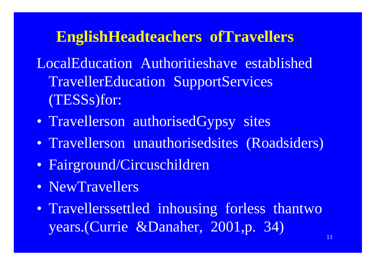### **EnglishHeadteachers ofTravellers**

LocalEducation Authoritieshave established TravellerEducation SupportServices (TESSs)for:

- Travellerson authorisedGypsy sites
- Travellerson unauthorisedsites (Roadsiders)
- Fairground/Circuschildren
- NewTravellers
- Travellerssettled inhousing forless thantwo years.(Currie &Danaher, 2001,p. 34)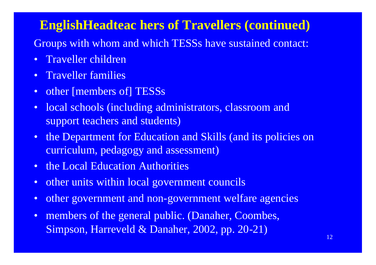Groups with whom and which TESSs have sustained contact:

- Traveller children
- Traveller families
- other [members of] TESSs
- local schools (including administrators, classroom and support teachers and students)
- the Department for Education and Skills (and its policies on curriculum, pedagogy and assessment)
- the Local Education Authorities
- other units within local government councils
- other government and non-government welfare agencies
- members of the general public. (Danaher, Coombes, Simpson, Harreveld & Danaher, 2002, pp. 20-21)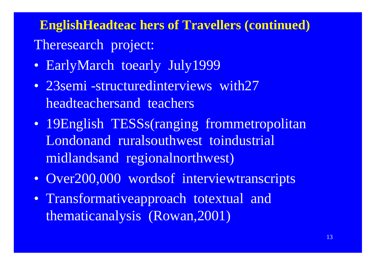**EnglishHeadteac hers of Travellers (continued)** Theresearch project:

- EarlyMarch toearly July1999
- 23semi-structuredinterviews with27 headteachersand teachers
- 19English TESSs(ranging frommetropolitan Londonand ruralsouthwest toindustrial midlandsand regionalnorthwest)
- Over200,000 wordsof interviewtranscripts
- Transformativeapproach totextual and thematicanalysis (Rowan,2001)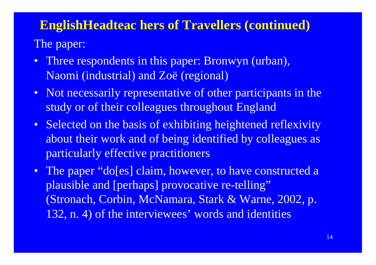#### The paper:

- Three respondents in this paper: Bronwyn (urban), Naomi (industrial) and Zoë (regional)
- Not necessarily representative of other participants in the study or of their colleagues throughout England
- Selected on the basis of exhibiting heightened reflexivity about their work and of being identified by colleagues as particularly effective practitioners
- The paper "do[es] claim, however, to have constructed a plausible and [perhaps] provocative re-telling" (Stronach, Corbin, McNamara, Stark & Warne, 2002, p. 132, n. 4) of the interviewees' words and identities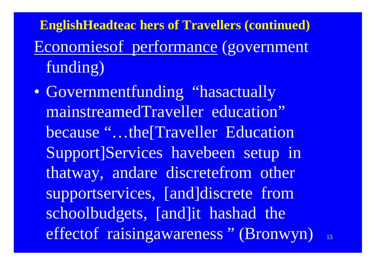**EnglishHeadteac hers of Travellers (continued)** Economies of performance (government funding)

• Governmentfunding "hasactually mainstreamedTraveller education" because "...the Traveller Education Support Services have been setup in thatway, andare discretefrom other supportservices, [and]discrete from schoolbudgets, [and]it hashad the effectof raisingawareness" (Bronwyn)

 $15$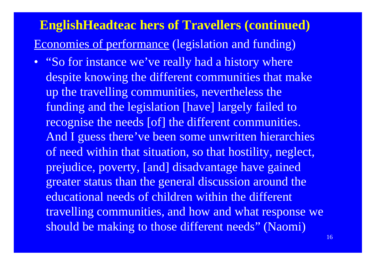### **EnglishHeadteac hers of Travellers (continued)** Economies of performance (legislation and funding)

• "So for instance we've really had a history where despite knowing the different communities that make up the travelling communities, nevertheless the funding and the legislation [have] largely failed to recognise the needs [of] the different communities. And I guess there've been some unwritten hierarchies of need within that situation, so that hostility, neglect, prejudice, poverty, [and] disadvantage have gained greater status than the general discussion around the educational needs of children within the different travelling communities, and how and what response we should be making to those different needs" (Naomi)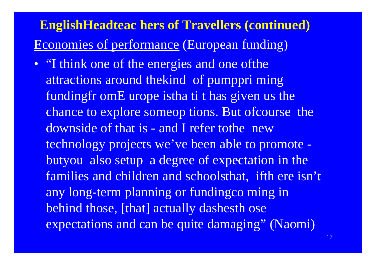### **EnglishHeadteac hers of Travellers (continued)** Economies of performance (European funding)

• "I think one of the energies and one of the attractions around thekind of pumppri ming fundingfr omE urope istha ti t has given us the chance to explore someop tions. But ofcourse the downside of that is - and I refer tothe new technology projects we've been able to promote butyou also setup a degree of expectation in the families and children and schoolsthat, ifth ere isn't any long-term planning or fundingco ming in behind those, [that] actually dashesth ose expectations and can be quite damaging" (Naomi)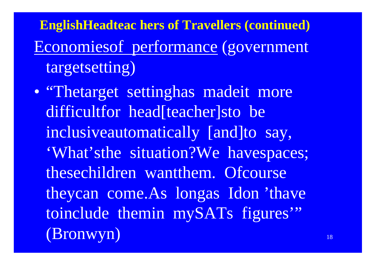**EnglishHeadteac hers of Travellers (continued)** Economies of performance (government targetsetting)

• "Thetarget settinghas madeit more difficultfor head[teacher]sto be inclusiveautomatically [and]to say, 'What'sthe situation?We havespaces; thesechildren wantthem. Of course theycan come.As longas Idon 'thave toinclude themin mySATs figures" (Bronwyn)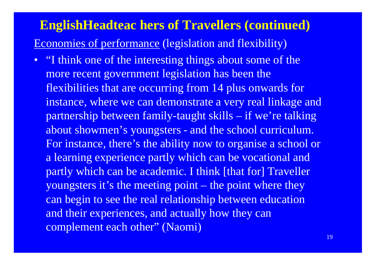#### **EnglishHeadteac hers of Travellers (continued)** Economies of performance (legislation and flexibility)

• "I think one of the interesting things about some of the more recent government legislation has been the flexibilities that are occurring from 14 plus onwards for instance, where we can demonstrate a very real linkage and partnership between family-taught skills – if we're talking about showmen's youngsters - and the school curriculum. For instance, there's the ability now to organise a school or a learning experience partly which can be vocational and partly which can be academic. I think [that for] Traveller youngsters it's the meeting point – the point where they can begin to see the real relationship between education and their experiences, and actually how they can complement each other" (Naomi)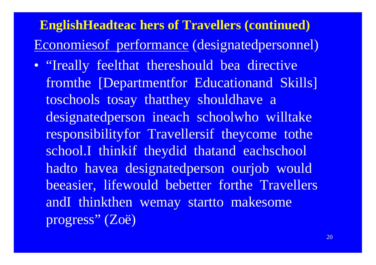### **EnglishHeadteac hers of Travellers (continued)** Economies of performance (designated personnel)

• "Ireally feelthat thereshould bea directive from the [Department for Education and Skills] toschools tosay thatthey shouldhave a designatedperson ineach schoolwho willtake responsibility for Travellers if they come to the school.I thinkif theydid thatand eachschool hadto havea designatedperson ourjob would beeasier, lifewould bebetter forthe Travellers andI thinkthen wemay startto makesome progress" (Zoë)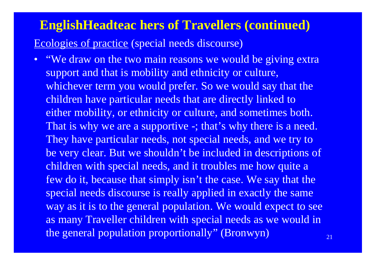Ecologies of practice (special needs discourse)

• "We draw on the two main reasons we would be giving extra support and that is mobility and ethnicity or culture, whichever term you would prefer. So we would say that the children have particular needs that are directly linked to either mobility, or ethnicity or culture, and sometimes both. That is why we are a supportive -; that's why there is a need. They have particular needs, not special needs, and we try to be very clear. But we shouldn't be included in descriptions of children with special needs, and it troubles me how quite a few do it, because that simply isn't the case. We say that the special needs discourse is really applied in exactly the same way as it is to the general population. We would expect to see as many Traveller children with special needs as we would in the general population proportionally" (Bronwyn)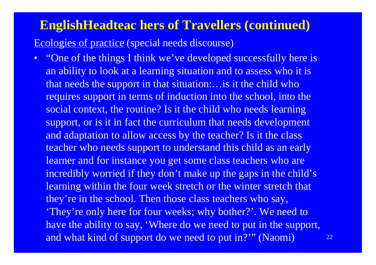Ecologies of practice (special needs discourse)

• "One of the things I think we've developed successfully here is an ability to look at a learning situation and to assess who it is that needs the support in that situation:…is it the child who requires support in terms of induction into the school, into the social context, the routine? Is it the child who needs learning support, or is it in fact the curriculum that needs development and adaptation to allow access by the teacher? Is it the class teacher who needs support to understand this child as an early learner and for instance you get some class teachers who are incredibly worried if they don't make up the gaps in the child's learning within the four week stretch or the winter stretch that they're in the school. Then those class teachers who say, 'They're only here for four weeks; why bother?'. We need to have the ability to say, 'Where do we need to put in the support, and what kind of support do we need to put in?'" (Naomi)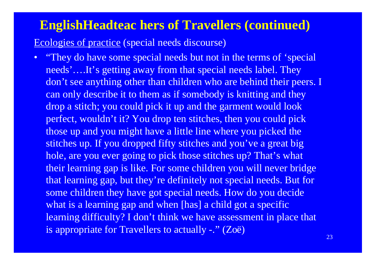Ecologies of practice (special needs discourse)

• "They do have some special needs but not in the terms of 'special needs'….It's getting away from that special needs label. They don't see anything other than children who are behind their peers. I can only describe it to them as if somebody is knitting and they drop a stitch; you could pick it up and the garment would look perfect, wouldn't it? You drop ten stitches, then you could pick those up and you might have a little line where you picked the stitches up. If you dropped fifty stitches and you've a great big hole, are you ever going to pick those stitches up? That's what their learning gap is like. For some children you will never bridge that learning gap, but they're definitely not special needs. But for some children they have got special needs. How do you decide what is a learning gap and when [has] a child got a specific learning difficulty? I don't think we have assessment in place that is appropriate for Travellers to actually -." (Zoë)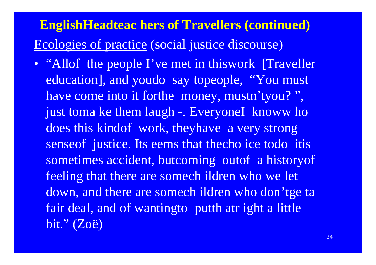### **EnglishHeadteac hers of Travellers (continued)** Ecologies of practice (social justice discourse)

• "Allof the people I've met in thiswork [Traveller] education], and youdo say topeople, "You must have come into it forthe money, mustn'tyou?", just toma ke them laugh -. Everyonel knoww ho does this kind of work, they have a very strong sense of justice. Its eems that the cho ice todo it is sometimes accident, butcoming outof a historyof feeling that there are somech ildren who we let down, and there are somech ildren who don'tge ta fair deal, and of wantingto putth atr ight a little bit."  $(Zo\ddot{e})$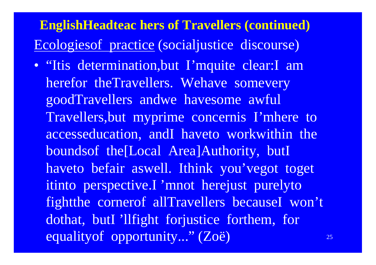**EnglishHeadteac hers of Travellers (continued)** Ecologiesof practice (socialjustice discourse)

• "Itis determination,but I'mquite clear:I am herefor theTravellers. Wehave somevery goodTravellers andwe havesome awful Travellers,but myprime concernis I'mhere to accesseducation, andI haveto workwithin the boundsof the[Local Area]Authority, butI haveto befair aswell. Ithink you'vegot toget itinto perspective.I 'mnot herejust purelyto fightthe cornerof allTravellers becauseI won't dothat, butI 'llfight forjustice forthem, for equalityof opportunity..." (Zoë)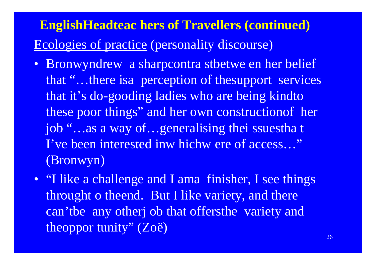## **EnglishHeadteac hers of Travellers (continued)** Ecologies of practice (personality discourse)

- Bronwyndrew a sharpcontra stbetwe en her belief that "...there is a perception of the support services that it's do-gooding ladies who are being kind to these poor things" and her own construction of her job "...as a way of...generalising thei ssuestha t I've been interested inw hichw ere of access..." (Bronwyn)
- "I like a challenge and I ama finisher, I see things throught o theend. But I like variety, and there can'tbe any other job that offersthe variety and theoppor tunity" (Zoë)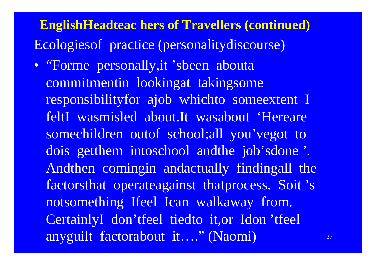## **EnglishHeadteac hers of Travellers (continued)** Ecologies of practice (personality discourse)

• "Forme personally, it 'sbeen abouta commitmentin lookingat takingsome responsibilityfor ajob whichto some extent I feltI wasmisled about.It wasabout 'Hereare somechildren outof school;all you'vegot to dois getthem intoschool and the job'sdone'. Andthen comingin andactually findingall the factorsthat operateagainst thatprocess. Soit's notsomething Ifeel Ican walkaway from. CertainlyI don'tfeel tiedto it, or Idon'tfeel anyguilt factorabout it...." (Naomi)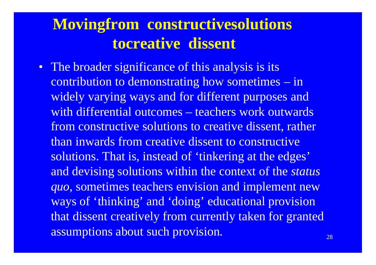## **Movingfrom constructivesolutions tocreative dissent**

• The broader significance of this analysis is its contribution to demonstrating how sometimes – in widely varying ways and for different purposes and with differential outcomes – teachers work outwards from constructive solutions to creative dissent, rather than inwards from creative dissent to constructive solutions. That is, instead of 'tinkering at the edges' and devising solutions within the context of the *status quo*, sometimes teachers envision and implement new ways of 'thinking' and 'doing' educational provision that dissent creatively from currently taken for granted assumptions about such provision.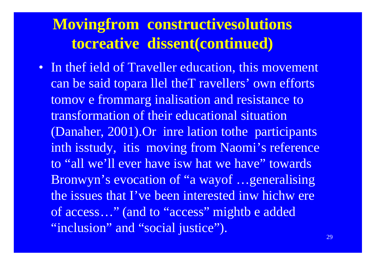## **Movingfrom constructivesolutions** tocreative dissent(continued)

• In the field of Traveller education, this movement can be said topara llel the T ravellers' own efforts tomov e frommarg inalisation and resistance to transformation of their educational situation (Danaher, 2001). Or inrelation to the participants inth isstudy, itis moving from Naomi's reference to "all we'll ever have is what we have" towards Bronwyn's evocation of "a wayof ... generalising the issues that I've been interested in which were of access..." (and to "access" mightb e added "inclusion" and "social justice").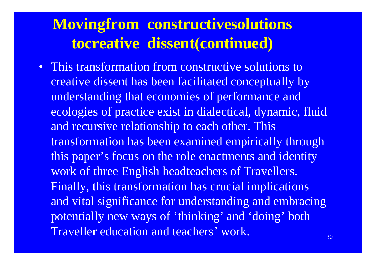## **Movingfrom constructivesolutions tocreative dissent(continued)**

• This transformation from constructive solutions to creative dissent has been facilitated conceptually by understanding that economies of performance and ecologies of practice exist in dialectical, dynamic, fluid and recursive relationship to each other. This transformation has been examined empirically through this paper's focus on the role enactments and identity work of three English headteachers of Travellers. Finally, this transformation has crucial implications and vital significance for understanding and embracing potentially new ways of 'thinking' and 'doing' both Traveller education and teachers' work.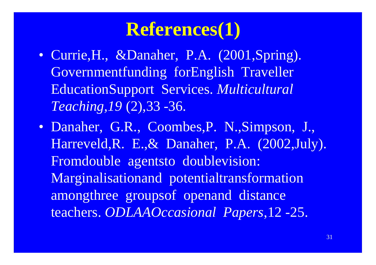## **References(1)**

- Currie, H., & Danaher, P.A. (2001, Spring). Governmentfunding forEnglish Traveller EducationSupport Services. *Multicultural Teaching,19* (2),33 -36.
- Danaher, G.R., Coombes,P. N.,Simpson, J., Harreveld,R. E.,& Danaher, P.A. (2002,July). Fromdouble agentsto doublevision: Marginalisationand potentialtransformation amongthree groupsof openand distance teachers. *ODLAAOccasional Papers*,12 -25.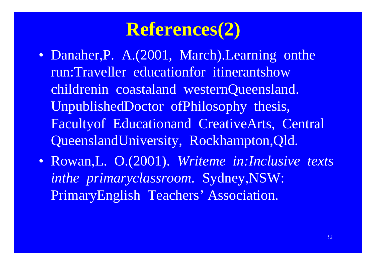## **References(2)**

- Danaher, P. A. (2001, March). Learning onthe run:Traveller educationfor itinerantshow childrenin coastaland westernQueensland. UnpublishedDoctor ofPhilosophy thesis, Facultyof Educationand CreativeArts, Central QueenslandUniversity, Rockhampton,Qld.
- Rowan,L. O.(2001). *Writeme in:Inclusive texts inthe primaryclassroom.* Sydney,NSW: PrimaryEnglish Teachers' Association.